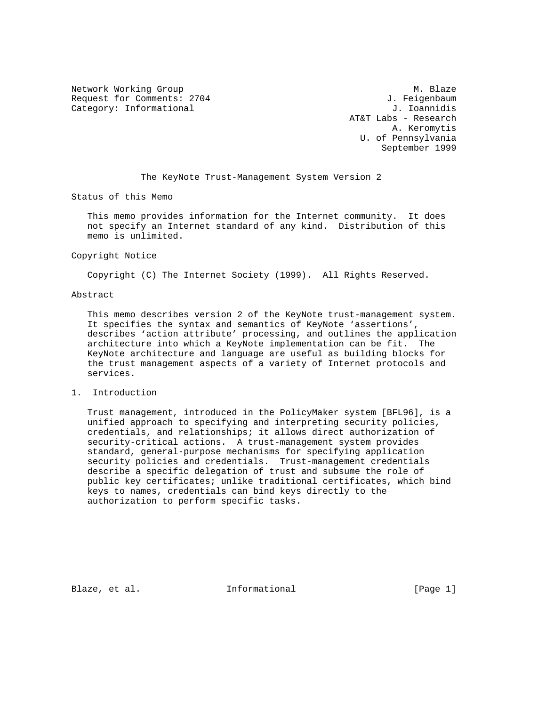Network Working Group Methods and Muslim Muslim Muslim Muslim Muslim Muslim Muslim Muslim Muslim Muslim Muslim Request for Comments: 2704 3. Feigenbaum Category: Informational  $J.$  Ioannidis

 AT&T Labs - Research A. Keromytis U. of Pennsylvania September 1999

The KeyNote Trust-Management System Version 2

Status of this Memo

 This memo provides information for the Internet community. It does not specify an Internet standard of any kind. Distribution of this memo is unlimited.

#### Copyright Notice

Copyright (C) The Internet Society (1999). All Rights Reserved.

#### Abstract

 This memo describes version 2 of the KeyNote trust-management system. It specifies the syntax and semantics of KeyNote 'assertions', describes 'action attribute' processing, and outlines the application architecture into which a KeyNote implementation can be fit. The KeyNote architecture and language are useful as building blocks for the trust management aspects of a variety of Internet protocols and services.

#### 1. Introduction

 Trust management, introduced in the PolicyMaker system [BFL96], is a unified approach to specifying and interpreting security policies, credentials, and relationships; it allows direct authorization of security-critical actions. A trust-management system provides standard, general-purpose mechanisms for specifying application security policies and credentials. Trust-management credentials describe a specific delegation of trust and subsume the role of public key certificates; unlike traditional certificates, which bind keys to names, credentials can bind keys directly to the authorization to perform specific tasks.

Blaze, et al.  $I_n$  Informational [Page 1]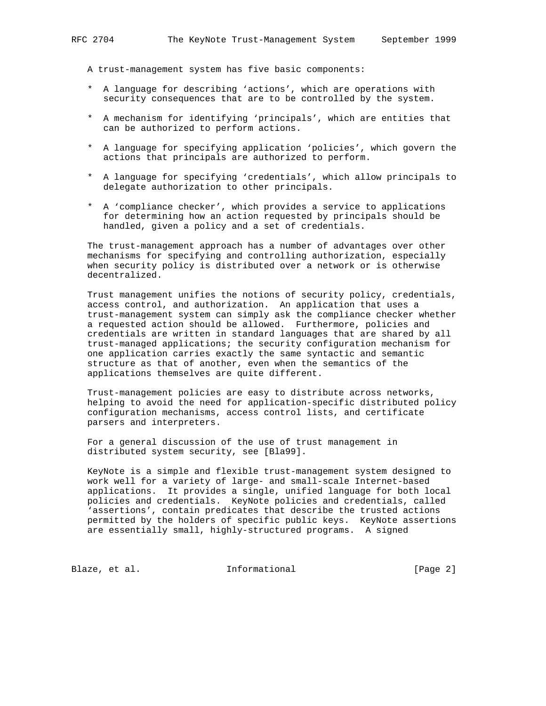A trust-management system has five basic components:

- \* A language for describing 'actions', which are operations with security consequences that are to be controlled by the system.
- \* A mechanism for identifying 'principals', which are entities that can be authorized to perform actions.
- \* A language for specifying application 'policies', which govern the actions that principals are authorized to perform.
- \* A language for specifying 'credentials', which allow principals to delegate authorization to other principals.
- \* A 'compliance checker', which provides a service to applications for determining how an action requested by principals should be handled, given a policy and a set of credentials.

 The trust-management approach has a number of advantages over other mechanisms for specifying and controlling authorization, especially when security policy is distributed over a network or is otherwise decentralized.

 Trust management unifies the notions of security policy, credentials, access control, and authorization. An application that uses a trust-management system can simply ask the compliance checker whether a requested action should be allowed. Furthermore, policies and credentials are written in standard languages that are shared by all trust-managed applications; the security configuration mechanism for one application carries exactly the same syntactic and semantic structure as that of another, even when the semantics of the applications themselves are quite different.

 Trust-management policies are easy to distribute across networks, helping to avoid the need for application-specific distributed policy configuration mechanisms, access control lists, and certificate parsers and interpreters.

 For a general discussion of the use of trust management in distributed system security, see [Bla99].

 KeyNote is a simple and flexible trust-management system designed to work well for a variety of large- and small-scale Internet-based applications. It provides a single, unified language for both local policies and credentials. KeyNote policies and credentials, called 'assertions', contain predicates that describe the trusted actions permitted by the holders of specific public keys. KeyNote assertions are essentially small, highly-structured programs. A signed

Blaze, et al.  $I_n$  Informational [Page 2]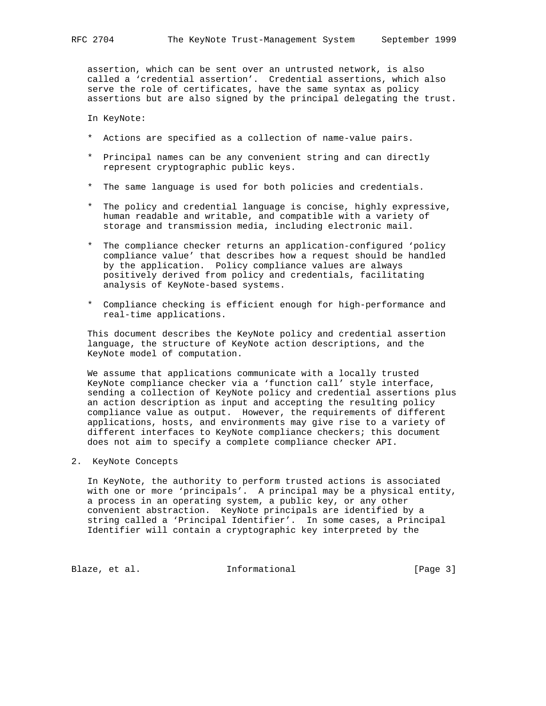assertion, which can be sent over an untrusted network, is also called a 'credential assertion'. Credential assertions, which also serve the role of certificates, have the same syntax as policy assertions but are also signed by the principal delegating the trust.

In KeyNote:

- \* Actions are specified as a collection of name-value pairs.
- \* Principal names can be any convenient string and can directly represent cryptographic public keys.
- \* The same language is used for both policies and credentials.
- \* The policy and credential language is concise, highly expressive, human readable and writable, and compatible with a variety of storage and transmission media, including electronic mail.
- \* The compliance checker returns an application-configured 'policy compliance value' that describes how a request should be handled by the application. Policy compliance values are always positively derived from policy and credentials, facilitating analysis of KeyNote-based systems.
- \* Compliance checking is efficient enough for high-performance and real-time applications.

 This document describes the KeyNote policy and credential assertion language, the structure of KeyNote action descriptions, and the KeyNote model of computation.

 We assume that applications communicate with a locally trusted KeyNote compliance checker via a 'function call' style interface, sending a collection of KeyNote policy and credential assertions plus an action description as input and accepting the resulting policy compliance value as output. However, the requirements of different applications, hosts, and environments may give rise to a variety of different interfaces to KeyNote compliance checkers; this document does not aim to specify a complete compliance checker API.

2. KeyNote Concepts

 In KeyNote, the authority to perform trusted actions is associated with one or more 'principals'. A principal may be a physical entity, a process in an operating system, a public key, or any other convenient abstraction. KeyNote principals are identified by a string called a 'Principal Identifier'. In some cases, a Principal Identifier will contain a cryptographic key interpreted by the

Blaze, et al. 1nformational 1999 [Page 3]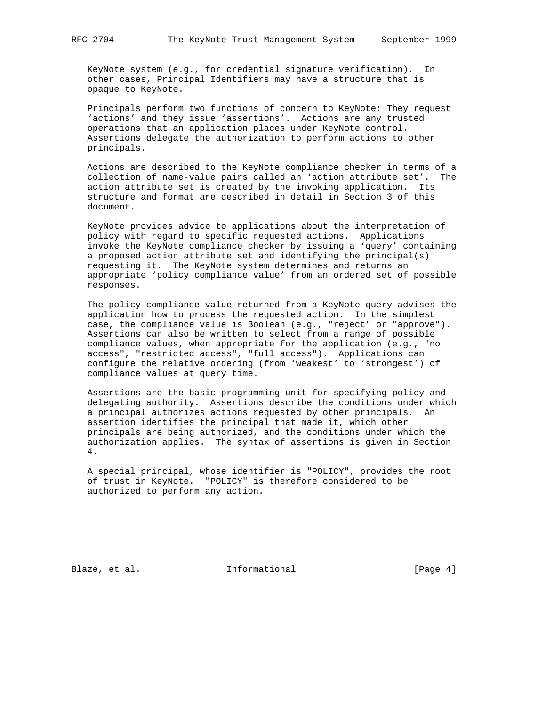KeyNote system (e.g., for credential signature verification). In other cases, Principal Identifiers may have a structure that is opaque to KeyNote.

 Principals perform two functions of concern to KeyNote: They request 'actions' and they issue 'assertions'. Actions are any trusted operations that an application places under KeyNote control. Assertions delegate the authorization to perform actions to other principals.

 Actions are described to the KeyNote compliance checker in terms of a collection of name-value pairs called an 'action attribute set'. The action attribute set is created by the invoking application. Its structure and format are described in detail in Section 3 of this document.

 KeyNote provides advice to applications about the interpretation of policy with regard to specific requested actions. Applications invoke the KeyNote compliance checker by issuing a 'query' containing a proposed action attribute set and identifying the principal(s) requesting it. The KeyNote system determines and returns an appropriate 'policy compliance value' from an ordered set of possible responses.

 The policy compliance value returned from a KeyNote query advises the application how to process the requested action. In the simplest case, the compliance value is Boolean (e.g., "reject" or "approve"). Assertions can also be written to select from a range of possible compliance values, when appropriate for the application (e.g., "no access", "restricted access", "full access"). Applications can configure the relative ordering (from 'weakest' to 'strongest') of compliance values at query time.

 Assertions are the basic programming unit for specifying policy and delegating authority. Assertions describe the conditions under which a principal authorizes actions requested by other principals. An assertion identifies the principal that made it, which other principals are being authorized, and the conditions under which the authorization applies. The syntax of assertions is given in Section 4.

 A special principal, whose identifier is "POLICY", provides the root of trust in KeyNote. "POLICY" is therefore considered to be authorized to perform any action.

Blaze, et al. 1nformational 1999 [Page 4]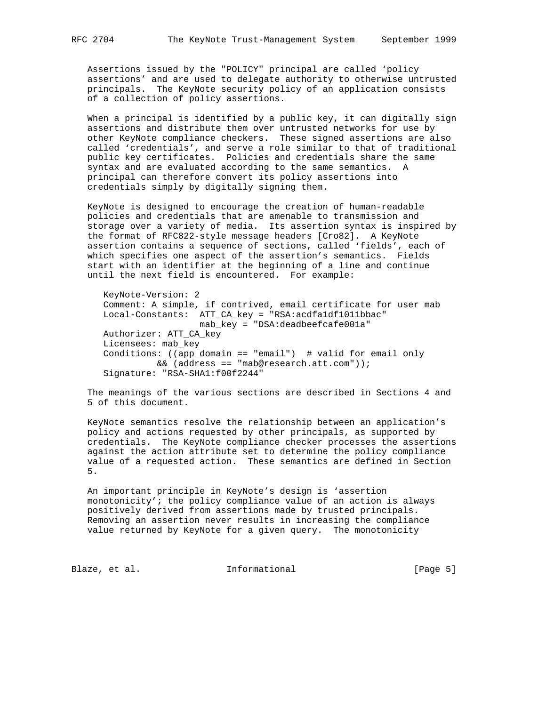Assertions issued by the "POLICY" principal are called 'policy assertions' and are used to delegate authority to otherwise untrusted principals. The KeyNote security policy of an application consists of a collection of policy assertions.

 When a principal is identified by a public key, it can digitally sign assertions and distribute them over untrusted networks for use by other KeyNote compliance checkers. These signed assertions are also called 'credentials', and serve a role similar to that of traditional public key certificates. Policies and credentials share the same syntax and are evaluated according to the same semantics. A principal can therefore convert its policy assertions into credentials simply by digitally signing them.

 KeyNote is designed to encourage the creation of human-readable policies and credentials that are amenable to transmission and storage over a variety of media. Its assertion syntax is inspired by the format of RFC822-style message headers [Cro82]. A KeyNote assertion contains a sequence of sections, called 'fields', each of which specifies one aspect of the assertion's semantics. Fields start with an identifier at the beginning of a line and continue until the next field is encountered. For example:

 KeyNote-Version: 2 Comment: A simple, if contrived, email certificate for user mab Local-Constants: ATT\_CA\_key = "RSA:acdfa1df1011bbac"  $mab$ \_key = "DSA:deadbeefcafe001a" Authorizer: ATT\_CA\_key Licensees: mab\_key Conditions: ((app\_domain == "email") # valid for email only && (address == "mab@research.att.com")); Signature: "RSA-SHA1:f00f2244"

 The meanings of the various sections are described in Sections 4 and 5 of this document.

 KeyNote semantics resolve the relationship between an application's policy and actions requested by other principals, as supported by credentials. The KeyNote compliance checker processes the assertions against the action attribute set to determine the policy compliance value of a requested action. These semantics are defined in Section 5.

 An important principle in KeyNote's design is 'assertion monotonicity'; the policy compliance value of an action is always positively derived from assertions made by trusted principals. Removing an assertion never results in increasing the compliance value returned by KeyNote for a given query. The monotonicity

Blaze, et al.  $I_n$  Informational [Page 5]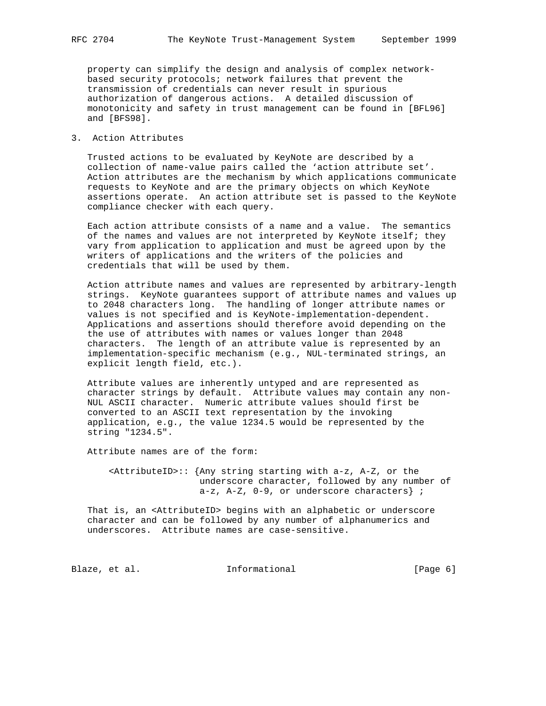property can simplify the design and analysis of complex network based security protocols; network failures that prevent the transmission of credentials can never result in spurious authorization of dangerous actions. A detailed discussion of monotonicity and safety in trust management can be found in [BFL96] and [BFS98].

# 3. Action Attributes

 Trusted actions to be evaluated by KeyNote are described by a collection of name-value pairs called the 'action attribute set'. Action attributes are the mechanism by which applications communicate requests to KeyNote and are the primary objects on which KeyNote assertions operate. An action attribute set is passed to the KeyNote compliance checker with each query.

 Each action attribute consists of a name and a value. The semantics of the names and values are not interpreted by KeyNote itself; they vary from application to application and must be agreed upon by the writers of applications and the writers of the policies and credentials that will be used by them.

 Action attribute names and values are represented by arbitrary-length strings. KeyNote guarantees support of attribute names and values up to 2048 characters long. The handling of longer attribute names or values is not specified and is KeyNote-implementation-dependent. Applications and assertions should therefore avoid depending on the the use of attributes with names or values longer than 2048 characters. The length of an attribute value is represented by an implementation-specific mechanism (e.g., NUL-terminated strings, an explicit length field, etc.).

 Attribute values are inherently untyped and are represented as character strings by default. Attribute values may contain any non- NUL ASCII character. Numeric attribute values should first be converted to an ASCII text representation by the invoking application, e.g., the value 1234.5 would be represented by the string "1234.5".

Attribute names are of the form:

 $\varepsilon$ AttributeID>:: {Any string starting with a-z, A-Z, or the underscore character, followed by any number of  $a-z$ ,  $A-Z$ ,  $0-9$ , or underscore characters} ;

 That is, an <AttributeID> begins with an alphabetic or underscore character and can be followed by any number of alphanumerics and underscores. Attribute names are case-sensitive.

Blaze, et al. 1nformational 1999 [Page 6]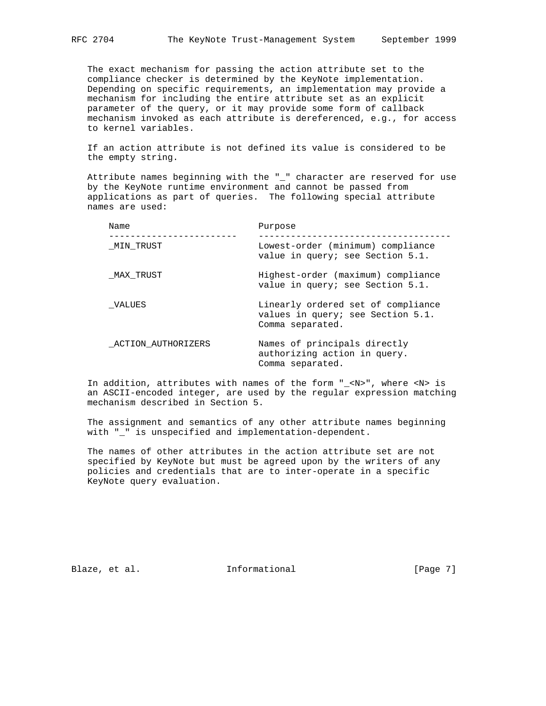The exact mechanism for passing the action attribute set to the compliance checker is determined by the KeyNote implementation. Depending on specific requirements, an implementation may provide a mechanism for including the entire attribute set as an explicit parameter of the query, or it may provide some form of callback mechanism invoked as each attribute is dereferenced, e.g., for access to kernel variables.

 If an action attribute is not defined its value is considered to be the empty string.

 Attribute names beginning with the "\_" character are reserved for use by the KeyNote runtime environment and cannot be passed from applications as part of queries. The following special attribute names are used:

| Name               | Purpose                                                                                     |
|--------------------|---------------------------------------------------------------------------------------------|
| MIN TRUST          | Lowest-order (minimum) compliance<br>value in query; see Section 5.1.                       |
| MAX TRUST          | Highest-order (maximum) compliance<br>value in query; see Section 5.1.                      |
| VALUES             | Linearly ordered set of compliance<br>values in query; see Section 5.1.<br>Comma separated. |
| ACTION AUTHORIZERS | Names of principals directly<br>authorizing action in query.<br>Comma separated.            |

 In addition, attributes with names of the form "\_<N>", where <N> is an ASCII-encoded integer, are used by the regular expression matching mechanism described in Section 5.

 The assignment and semantics of any other attribute names beginning with "\_" is unspecified and implementation-dependent.

 The names of other attributes in the action attribute set are not specified by KeyNote but must be agreed upon by the writers of any policies and credentials that are to inter-operate in a specific KeyNote query evaluation.

Blaze, et al. 1nformational 1999 [Page 7]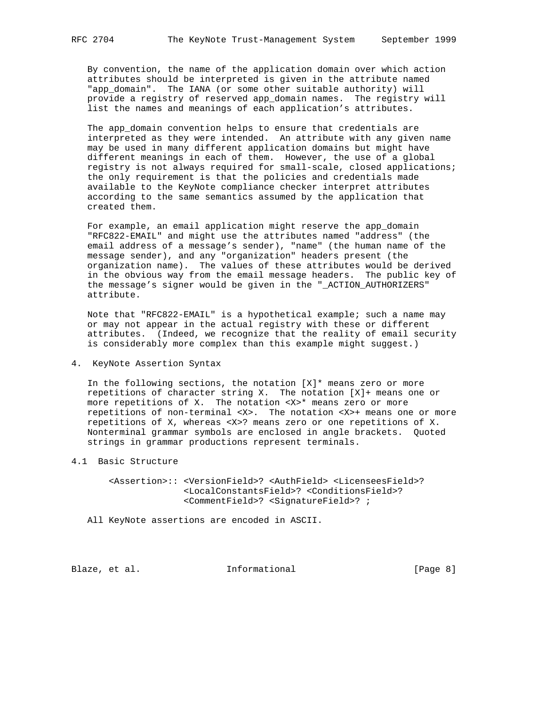By convention, the name of the application domain over which action attributes should be interpreted is given in the attribute named "app\_domain". The IANA (or some other suitable authority) will provide a registry of reserved app\_domain names. The registry will list the names and meanings of each application's attributes.

 The app\_domain convention helps to ensure that credentials are interpreted as they were intended. An attribute with any given name may be used in many different application domains but might have different meanings in each of them. However, the use of a global registry is not always required for small-scale, closed applications; the only requirement is that the policies and credentials made available to the KeyNote compliance checker interpret attributes according to the same semantics assumed by the application that created them.

For example, an email application might reserve the app\_domain "RFC822-EMAIL" and might use the attributes named "address" (the email address of a message's sender), "name" (the human name of the message sender), and any "organization" headers present (the organization name). The values of these attributes would be derived in the obvious way from the email message headers. The public key of the message's signer would be given in the "\_ACTION\_AUTHORIZERS" attribute.

 Note that "RFC822-EMAIL" is a hypothetical example; such a name may or may not appear in the actual registry with these or different attributes. (Indeed, we recognize that the reality of email security is considerably more complex than this example might suggest.)

4. KeyNote Assertion Syntax

In the following sections, the notation  $[X]^*$  means zero or more repetitions of character string X. The notation [X]+ means one or more repetitions of X. The notation <X>\* means zero or more repetitions of non-terminal <X>. The notation <X>+ means one or more repetitions of X, whereas <X>? means zero or one repetitions of X. Nonterminal grammar symbols are enclosed in angle brackets. Quoted strings in grammar productions represent terminals.

4.1 Basic Structure

 <Assertion>:: <VersionField>? <AuthField> <LicenseesField>? <LocalConstantsField>? <ConditionsField>? <CommentField>? <SignatureField>? ;

All KeyNote assertions are encoded in ASCII.

Blaze, et al. 1nformational 1999 [Page 8]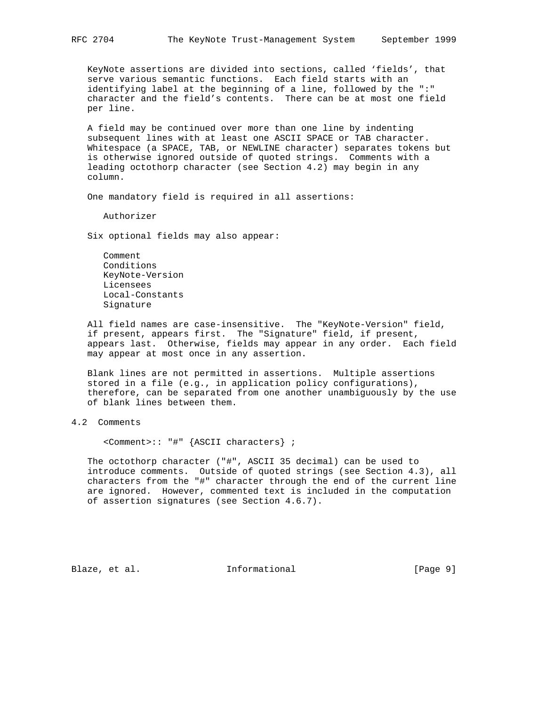KeyNote assertions are divided into sections, called 'fields', that serve various semantic functions. Each field starts with an identifying label at the beginning of a line, followed by the ":" character and the field's contents. There can be at most one field per line.

 A field may be continued over more than one line by indenting subsequent lines with at least one ASCII SPACE or TAB character. Whitespace (a SPACE, TAB, or NEWLINE character) separates tokens but is otherwise ignored outside of quoted strings. Comments with a leading octothorp character (see Section 4.2) may begin in any column.

One mandatory field is required in all assertions:

Authorizer

Six optional fields may also appear:

 Comment Conditions KeyNote-Version Licensees Local-Constants Signature

 All field names are case-insensitive. The "KeyNote-Version" field, if present, appears first. The "Signature" field, if present, appears last. Otherwise, fields may appear in any order. Each field may appear at most once in any assertion.

 Blank lines are not permitted in assertions. Multiple assertions stored in a file (e.g., in application policy configurations), therefore, can be separated from one another unambiguously by the use of blank lines between them.

4.2 Comments

<Comment>:: "#" {ASCII characters} ;

 The octothorp character ("#", ASCII 35 decimal) can be used to introduce comments. Outside of quoted strings (see Section 4.3), all characters from the "#" character through the end of the current line are ignored. However, commented text is included in the computation of assertion signatures (see Section 4.6.7).

Blaze, et al.  $I_n$  Informational [Page 9]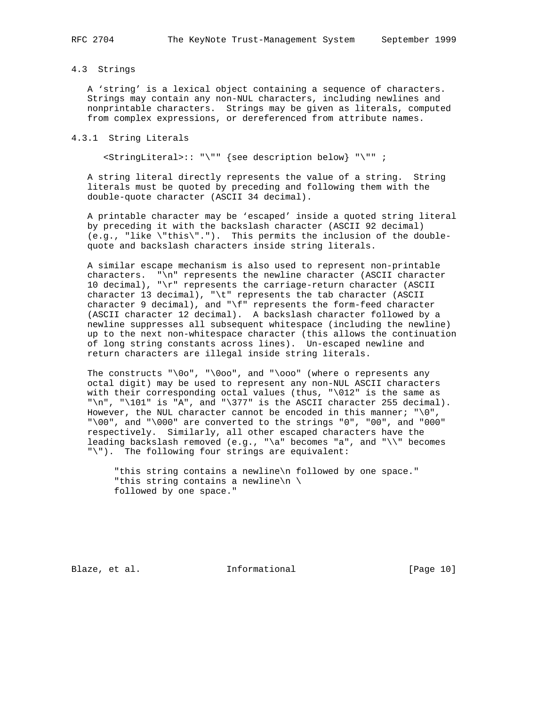# 4.3 Strings

 A 'string' is a lexical object containing a sequence of characters. Strings may contain any non-NUL characters, including newlines and nonprintable characters. Strings may be given as literals, computed from complex expressions, or dereferenced from attribute names.

# 4.3.1 String Literals

<StringLiteral>:: "\"" {see description below} "\"" ;

 A string literal directly represents the value of a string. String literals must be quoted by preceding and following them with the double-quote character (ASCII 34 decimal).

 A printable character may be 'escaped' inside a quoted string literal by preceding it with the backslash character (ASCII 92 decimal) (e.g., "like \"this\"."). This permits the inclusion of the double quote and backslash characters inside string literals.

 A similar escape mechanism is also used to represent non-printable characters. "\n" represents the newline character (ASCII character 10 decimal), "\r" represents the carriage-return character (ASCII character 13 decimal), "\t" represents the tab character (ASCII character 9 decimal), and "\f" represents the form-feed character (ASCII character 12 decimal). A backslash character followed by a newline suppresses all subsequent whitespace (including the newline) up to the next non-whitespace character (this allows the continuation of long string constants across lines). Un-escaped newline and return characters are illegal inside string literals.

The constructs " $\0$ o", " $\0$ oo", and " $\0$ oo" (where o represents any octal digit) may be used to represent any non-NUL ASCII characters with their corresponding octal values (thus, "\012" is the same as "\n", "\101" is "A", and "\377" is the ASCII character 255 decimal). However, the NUL character cannot be encoded in this manner;  $"\0",$  "\00", and "\000" are converted to the strings "0", "00", and "000" respectively. Similarly, all other escaped characters have the leading backslash removed (e.g., "\a" becomes "a", and "\\" becomes "\"). The following four strings are equivalent:

 "this string contains a newline\n followed by one space." "this string contains a newline\n \ followed by one space."

Blaze, et al. 1nformational [Page 10]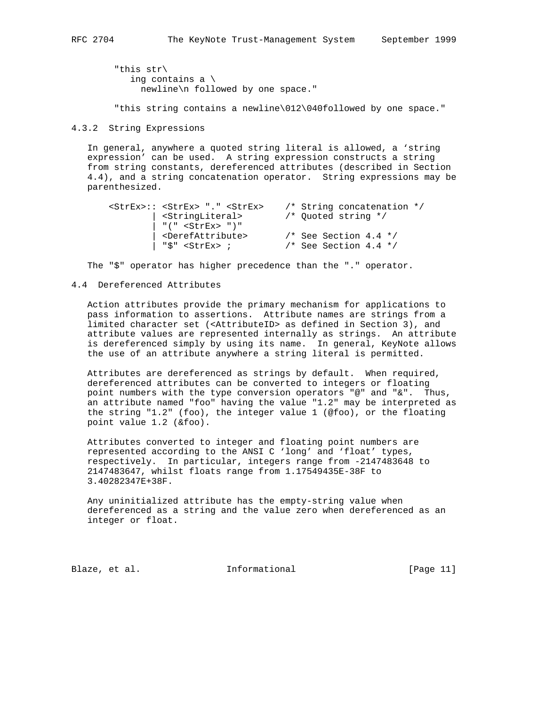"this str\ ing contains a \ newline\n followed by one space."

"this string contains a newline\012\040followed by one space."

4.3.2 String Expressions

 In general, anywhere a quoted string literal is allowed, a 'string expression' can be used. A string expression constructs a string from string constants, dereferenced attributes (described in Section 4.4), and a string concatenation operator. String expressions may be parenthesized.

| <strex>:: <strex> "." <strex></strex></strex></strex> | $/*$ String concatenation $*/$ |
|-------------------------------------------------------|--------------------------------|
| <stringliteral></stringliteral>                       | /* Ouoted string */            |
| "(" $\leq$ StrEx> ")"                                 |                                |
| <derefattribute></derefattribute>                     | $/*$ See Section 4.4 $*/$      |
| "\$" <strex> ;</strex>                                | $/*$ See Section 4.4 $*/$      |

The "\$" operator has higher precedence than the "." operator.

## 4.4 Dereferenced Attributes

 Action attributes provide the primary mechanism for applications to pass information to assertions. Attribute names are strings from a limited character set (<AttributeID> as defined in Section 3), and attribute values are represented internally as strings. An attribute is dereferenced simply by using its name. In general, KeyNote allows the use of an attribute anywhere a string literal is permitted.

 Attributes are dereferenced as strings by default. When required, dereferenced attributes can be converted to integers or floating point numbers with the type conversion operators "@" and "&". Thus, an attribute named "foo" having the value "1.2" may be interpreted as the string "1.2" (foo), the integer value 1 (@foo), or the floating point value 1.2 (&foo).

 Attributes converted to integer and floating point numbers are represented according to the ANSI C 'long' and 'float' types, respectively. In particular, integers range from -2147483648 to 2147483647, whilst floats range from 1.17549435E-38F to 3.40282347E+38F.

 Any uninitialized attribute has the empty-string value when dereferenced as a string and the value zero when dereferenced as an integer or float.

Blaze, et al. Informational [Page 11]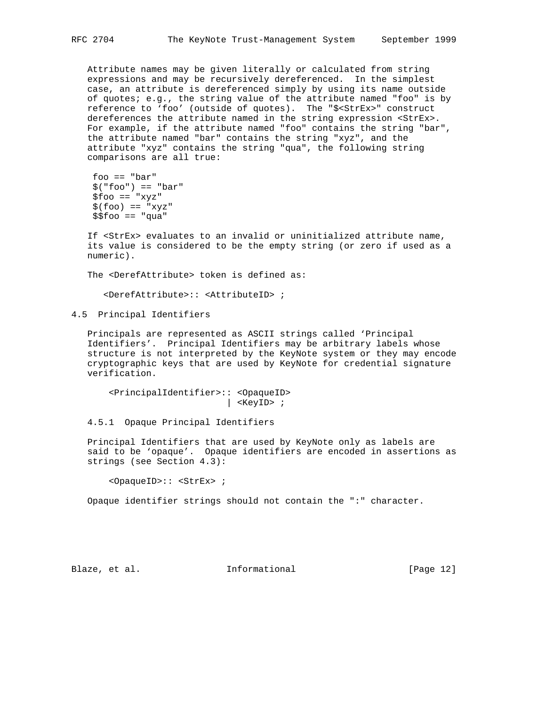Attribute names may be given literally or calculated from string expressions and may be recursively dereferenced. In the simplest case, an attribute is dereferenced simply by using its name outside of quotes; e.g., the string value of the attribute named "foo" is by reference to 'foo' (outside of quotes). The "\$<StrEx>" construct dereferences the attribute named in the string expression <StrEx>. For example, if the attribute named "foo" contains the string "bar", the attribute named "bar" contains the string "xyz", and the attribute "xyz" contains the string "qua", the following string comparisons are all true:

```
 foo == "bar"
 $("foo") == "bar"
$foo == "xyz"$(foo) == "xyz"$5foo == "qua"
```
 If <StrEx> evaluates to an invalid or uninitialized attribute name, its value is considered to be the empty string (or zero if used as a numeric).

The <DerefAttribute> token is defined as:

<DerefAttribute>:: <AttributeID> ;

4.5 Principal Identifiers

 Principals are represented as ASCII strings called 'Principal Identifiers'. Principal Identifiers may be arbitrary labels whose structure is not interpreted by the KeyNote system or they may encode cryptographic keys that are used by KeyNote for credential signature verification.

 <PrincipalIdentifier>:: <OpaqueID> | <KeyID> ;

4.5.1 Opaque Principal Identifiers

 Principal Identifiers that are used by KeyNote only as labels are said to be 'opaque'. Opaque identifiers are encoded in assertions as strings (see Section 4.3):

<OpaqueID>:: <StrEx> ;

Opaque identifier strings should not contain the ":" character.

Blaze, et al. Informational [Page 12]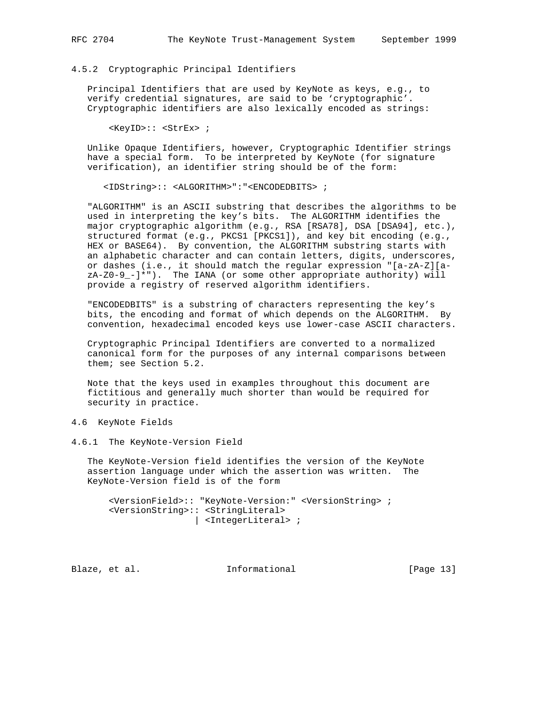#### 4.5.2 Cryptographic Principal Identifiers

 Principal Identifiers that are used by KeyNote as keys, e.g., to verify credential signatures, are said to be 'cryptographic'. Cryptographic identifiers are also lexically encoded as strings:

<KeyID>:: <StrEx> ;

 Unlike Opaque Identifiers, however, Cryptographic Identifier strings have a special form. To be interpreted by KeyNote (for signature verification), an identifier string should be of the form:

<IDString>:: <ALGORITHM>":"<ENCODEDBITS> ;

 "ALGORITHM" is an ASCII substring that describes the algorithms to be used in interpreting the key's bits. The ALGORITHM identifies the major cryptographic algorithm (e.g., RSA [RSA78], DSA [DSA94], etc.), structured format (e.g., PKCS1 [PKCS1]), and key bit encoding (e.g., HEX or BASE64). By convention, the ALGORITHM substring starts with an alphabetic character and can contain letters, digits, underscores, or dashes (i.e., it should match the regular expression "[a-zA-Z][a  $zA-Z0-9$ <sup>-</sup>]\*"). The IANA (or some other appropriate authority) will provide a registry of reserved algorithm identifiers.

 "ENCODEDBITS" is a substring of characters representing the key's bits, the encoding and format of which depends on the ALGORITHM. By convention, hexadecimal encoded keys use lower-case ASCII characters.

 Cryptographic Principal Identifiers are converted to a normalized canonical form for the purposes of any internal comparisons between them; see Section 5.2.

 Note that the keys used in examples throughout this document are fictitious and generally much shorter than would be required for security in practice.

4.6 KeyNote Fields

4.6.1 The KeyNote-Version Field

 The KeyNote-Version field identifies the version of the KeyNote assertion language under which the assertion was written. The KeyNote-Version field is of the form

 <VersionField>:: "KeyNote-Version:" <VersionString> ; <VersionString>:: <StringLiteral> | <IntegerLiteral> ;

Blaze, et al. Informational [Page 13]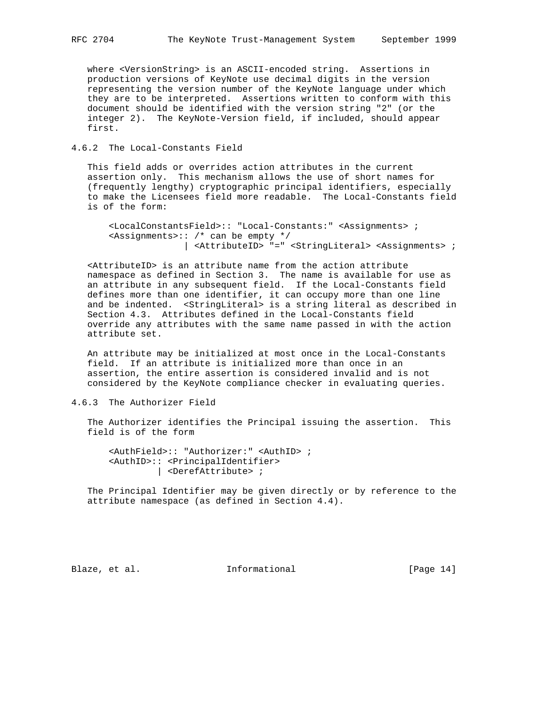where <VersionString> is an ASCII-encoded string. Assertions in production versions of KeyNote use decimal digits in the version representing the version number of the KeyNote language under which they are to be interpreted. Assertions written to conform with this document should be identified with the version string "2" (or the integer 2). The KeyNote-Version field, if included, should appear first.

4.6.2 The Local-Constants Field

 This field adds or overrides action attributes in the current assertion only. This mechanism allows the use of short names for (frequently lengthy) cryptographic principal identifiers, especially to make the Licensees field more readable. The Local-Constants field is of the form:

```
 <LocalConstantsField>:: "Local-Constants:" <Assignments> ;
 <Assignments>:: /* can be empty */
               | <AttributeID> "=" <StringLiteral> <Assignments> ;
```
 <AttributeID> is an attribute name from the action attribute namespace as defined in Section 3. The name is available for use as an attribute in any subsequent field. If the Local-Constants field defines more than one identifier, it can occupy more than one line and be indented. <StringLiteral> is a string literal as described in Section 4.3. Attributes defined in the Local-Constants field override any attributes with the same name passed in with the action attribute set.

 An attribute may be initialized at most once in the Local-Constants field. If an attribute is initialized more than once in an assertion, the entire assertion is considered invalid and is not considered by the KeyNote compliance checker in evaluating queries.

 The Authorizer identifies the Principal issuing the assertion. This field is of the form

 <AuthField>:: "Authorizer:" <AuthID> ; <AuthID>:: <PrincipalIdentifier> | <DerefAttribute> ;

 The Principal Identifier may be given directly or by reference to the attribute namespace (as defined in Section 4.4).

Blaze, et al. 1nformational [Page 14]

<sup>4.6.3</sup> The Authorizer Field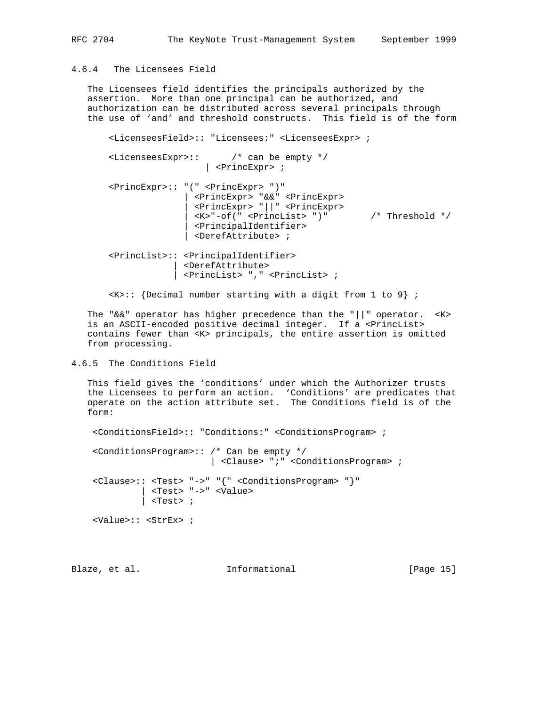# 4.6.4 The Licensees Field

 The Licensees field identifies the principals authorized by the assertion. More than one principal can be authorized, and authorization can be distributed across several principals through the use of 'and' and threshold constructs. This field is of the form

 <LicenseesField>:: "Licensees:" <LicenseesExpr> ; <LicenseesExpr>:: /\* can be empty \*/ | <PrincExpr> ; <PrincExpr>:: "(" <PrincExpr> ")" | <PrincExpr> "&&" <PrincExpr> | <PrincExpr> "||" <PrincExpr> | <K>"-of(" <PrincList> ")" /\* Threshold \*/ | <PrincipalIdentifier> | <DerefAttribute> ; <PrincList>:: <PrincipalIdentifier> | <DerefAttribute> | <PrincList> "," <PrincList> ;

 $\langle K \rangle$ :: {Decimal number starting with a digit from 1 to 9} ;

The " $&&w$ " operator has higher precedence than the "||" operator. <K> is an ASCII-encoded positive decimal integer. If a <PrincList> contains fewer than <K> principals, the entire assertion is omitted from processing.

# 4.6.5 The Conditions Field

 This field gives the 'conditions' under which the Authorizer trusts the Licensees to perform an action. 'Conditions' are predicates that operate on the action attribute set. The Conditions field is of the form:

```
 <ConditionsField>:: "Conditions:" <ConditionsProgram> ;
 <ConditionsProgram>:: /* Can be empty */
                       | <Clause> ";" <ConditionsProgram> ;
 <Clause>:: <Test> "->" "{" <ConditionsProgram> "}"
          | <Test> "->" <Value>
         \vert <Test> ;
 <Value>:: <StrEx> ;
```
Blaze, et al. 10 mm informational 1999 [Page 15]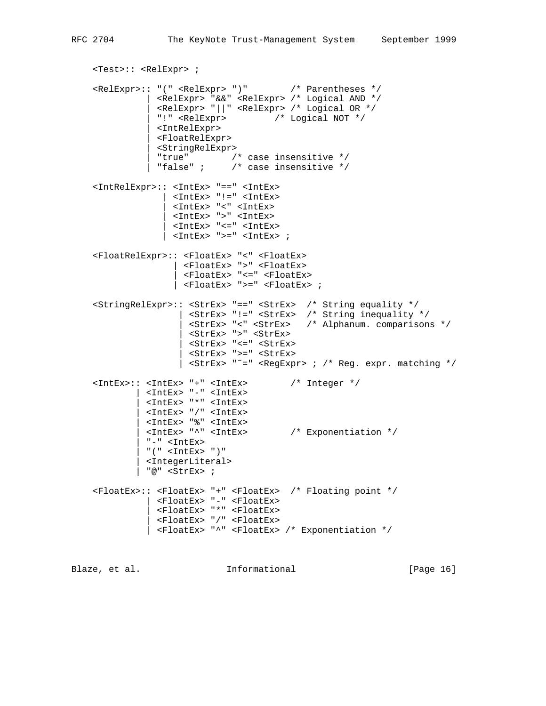```
 <Test>:: <RelExpr> ;
    <RelExpr>:: "(" <RelExpr> ")" /* Parentheses */
               | <RelExpr> "&&" <RelExpr> /* Logical AND */
                | <RelExpr> "||" <RelExpr> /* Logical OR */
               | "!" <RelExpr> /* Logical NOT */
               | <IntRelExpr>
               | <FloatRelExpr>
               | <StringRelExpr>
 | "true" /* case insensitive */
 | "false" ; /* case insensitive */
    <IntRelExpr>:: <IntEx> "==" <IntEx>
                  | <IntEx> "!=" <IntEx>
                   | <IntEx> "<" <IntEx>
                  | <IntEx> ">" <IntEx>
                 <IntEx> "<=" <IntEx>
                \vert <IntEx> ">=" <IntEx> ;
    <FloatRelExpr>:: <FloatEx> "<" <FloatEx>
                   | <FloatEx> ">" <FloatEx>
                   | <FloatEx> "<=" <FloatEx>
                   | <FloatEx> ">=" <FloatEx> ;
 <StringRelExpr>:: <StrEx> "==" <StrEx> /* String equality */
 | <StrEx> "!=" <StrEx> /* String inequality */
 | <StrEx> "<" <StrEx> /* Alphanum. comparisons */
                     | <StrEx> ">" <StrEx>
                     | <StrEx> "<=" <StrEx>
                     | <StrEx> ">=" <StrEx>
                    | <StrEx> "˜=" <RegExpr> ; /* Reg. expr. matching */
    <IntEx>:: <IntEx> "+" <IntEx> /* Integer */
            | <IntEx> "-" <IntEx>
             | <IntEx> "*" <IntEx>
             | <IntEx> "/" <IntEx>
             | <IntEx> "%" <IntEx>
              | <IntEx> "^" <IntEx> /* Exponentiation */
             " -" <IntEx>" (" < IntEx > "") | <IntegerLiteral>
             | "@" <StrEx> ;
    <FloatEx>:: <FloatEx> "+" <FloatEx> /* Floating point */
              | <FloatEx> "-" <FloatEx>
               | <FloatEx> "*" <FloatEx>
              | <FloatEx> "/" <FloatEx>
              | <FloatEx> "^" <FloatEx> /* Exponentiation */
Blaze, et al. I_n Informational [Page 16]
```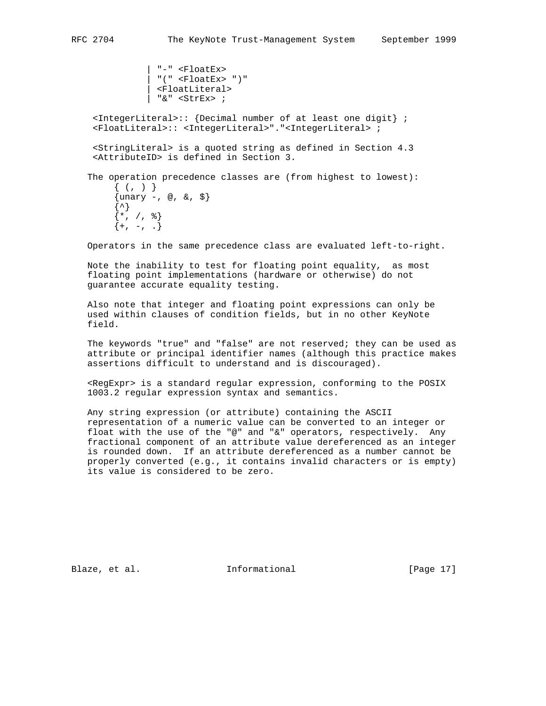```
 | "-" <FloatEx>
               | "(" <FloatEx> ")"
               | <FloatLiteral>
               | "&" <StrEx> ;
  <IntegerLiteral>:: {Decimal number of at least one digit} ;
  <FloatLiteral>:: <IntegerLiteral>"."<IntegerLiteral> ;
  <StringLiteral> is a quoted string as defined in Section 4.3
  <AttributeID> is defined in Section 3.
 The operation precedence classes are (from highest to lowest):
     \{ ( , ) \}\{unary -, \emptyset, \delta, \xi\}\{\uparrow\}\{*, / ,\; \}_{\}
```
Operators in the same precedence class are evaluated left-to-right.

 Note the inability to test for floating point equality, as most floating point implementations (hardware or otherwise) do not guarantee accurate equality testing.

 Also note that integer and floating point expressions can only be used within clauses of condition fields, but in no other KeyNote field.

 The keywords "true" and "false" are not reserved; they can be used as attribute or principal identifier names (although this practice makes assertions difficult to understand and is discouraged).

 <RegExpr> is a standard regular expression, conforming to the POSIX 1003.2 regular expression syntax and semantics.

 Any string expression (or attribute) containing the ASCII representation of a numeric value can be converted to an integer or float with the use of the "@" and "&" operators, respectively. Any fractional component of an attribute value dereferenced as an integer is rounded down. If an attribute dereferenced as a number cannot be properly converted (e.g., it contains invalid characters or is empty) its value is considered to be zero.

Blaze, et al. Informational [Page 17]

 $\{+, -,-, .\}$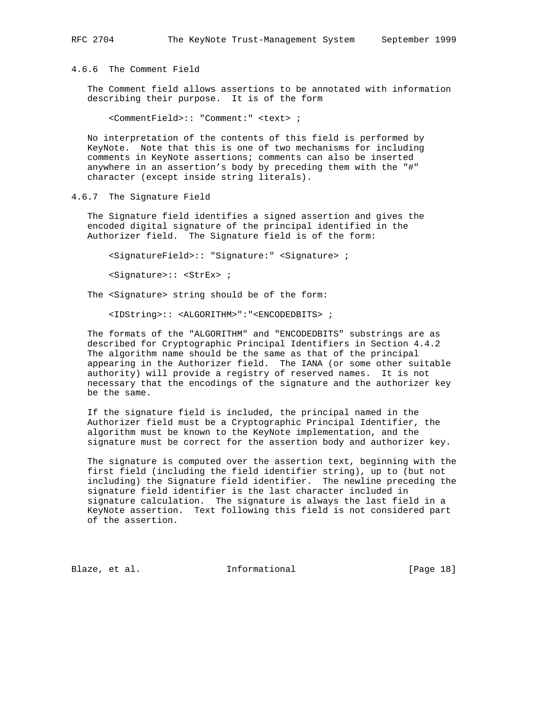4.6.6 The Comment Field

 The Comment field allows assertions to be annotated with information describing their purpose. It is of the form

<CommentField>:: "Comment:" <text> ;

 No interpretation of the contents of this field is performed by KeyNote. Note that this is one of two mechanisms for including comments in KeyNote assertions; comments can also be inserted anywhere in an assertion's body by preceding them with the "#" character (except inside string literals).

4.6.7 The Signature Field

 The Signature field identifies a signed assertion and gives the encoded digital signature of the principal identified in the Authorizer field. The Signature field is of the form:

<SignatureField>:: "Signature:" <Signature> ;

<Signature>:: <StrEx> ;

The <Signature> string should be of the form:

<IDString>:: <ALGORITHM>":"<ENCODEDBITS> ;

 The formats of the "ALGORITHM" and "ENCODEDBITS" substrings are as described for Cryptographic Principal Identifiers in Section 4.4.2 The algorithm name should be the same as that of the principal appearing in the Authorizer field. The IANA (or some other suitable authority) will provide a registry of reserved names. It is not necessary that the encodings of the signature and the authorizer key be the same.

 If the signature field is included, the principal named in the Authorizer field must be a Cryptographic Principal Identifier, the algorithm must be known to the KeyNote implementation, and the signature must be correct for the assertion body and authorizer key.

 The signature is computed over the assertion text, beginning with the first field (including the field identifier string), up to (but not including) the Signature field identifier. The newline preceding the signature field identifier is the last character included in signature calculation. The signature is always the last field in a KeyNote assertion. Text following this field is not considered part of the assertion.

Blaze, et al. 1nformational [Page 18]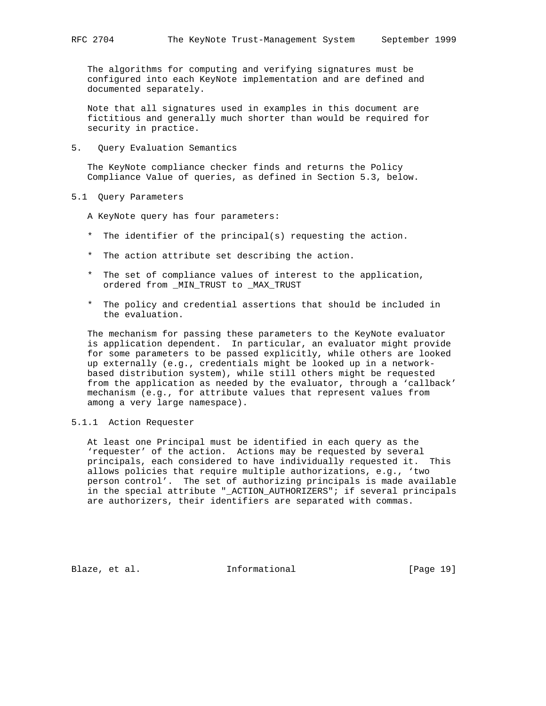The algorithms for computing and verifying signatures must be configured into each KeyNote implementation and are defined and documented separately.

 Note that all signatures used in examples in this document are fictitious and generally much shorter than would be required for security in practice.

5. Query Evaluation Semantics

 The KeyNote compliance checker finds and returns the Policy Compliance Value of queries, as defined in Section 5.3, below.

5.1 Query Parameters

A KeyNote query has four parameters:

- \* The identifier of the principal(s) requesting the action.
- \* The action attribute set describing the action.
- \* The set of compliance values of interest to the application, ordered from \_MIN\_TRUST to \_MAX\_TRUST
- \* The policy and credential assertions that should be included in the evaluation.

 The mechanism for passing these parameters to the KeyNote evaluator is application dependent. In particular, an evaluator might provide for some parameters to be passed explicitly, while others are looked up externally (e.g., credentials might be looked up in a network based distribution system), while still others might be requested from the application as needed by the evaluator, through a 'callback' mechanism (e.g., for attribute values that represent values from among a very large namespace).

# 5.1.1 Action Requester

 At least one Principal must be identified in each query as the 'requester' of the action. Actions may be requested by several principals, each considered to have individually requested it. This allows policies that require multiple authorizations, e.g., 'two person control'. The set of authorizing principals is made available in the special attribute "\_ACTION\_AUTHORIZERS"; if several principals are authorizers, their identifiers are separated with commas.

Blaze, et al. 1nformational 1915 [Page 19]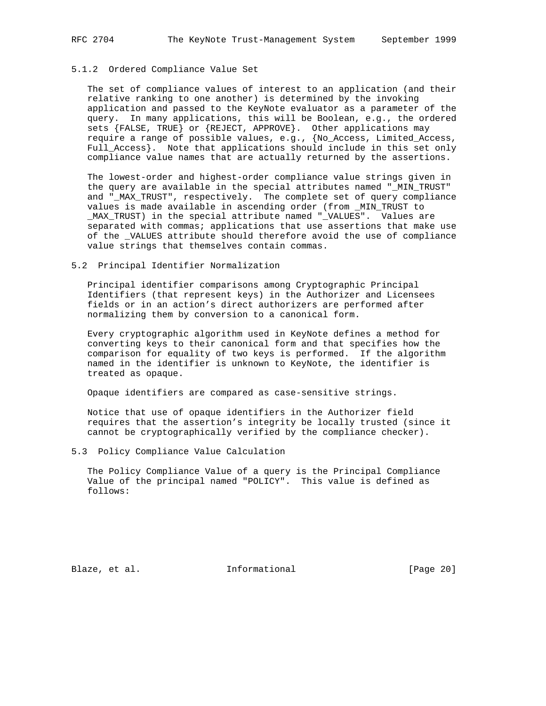## 5.1.2 Ordered Compliance Value Set

 The set of compliance values of interest to an application (and their relative ranking to one another) is determined by the invoking application and passed to the KeyNote evaluator as a parameter of the query. In many applications, this will be Boolean, e.g., the ordered sets {FALSE, TRUE} or {REJECT, APPROVE}. Other applications may require a range of possible values, e.g., {No\_Access, Limited\_Access, Full\_Access}. Note that applications should include in this set only compliance value names that are actually returned by the assertions.

 The lowest-order and highest-order compliance value strings given in the query are available in the special attributes named "\_MIN\_TRUST" and "\_MAX\_TRUST", respectively. The complete set of query compliance values is made available in ascending order (from \_MIN\_TRUST to \_MAX\_TRUST) in the special attribute named "\_VALUES". Values are separated with commas; applications that use assertions that make use of the \_VALUES attribute should therefore avoid the use of compliance value strings that themselves contain commas.

#### 5.2 Principal Identifier Normalization

 Principal identifier comparisons among Cryptographic Principal Identifiers (that represent keys) in the Authorizer and Licensees fields or in an action's direct authorizers are performed after normalizing them by conversion to a canonical form.

 Every cryptographic algorithm used in KeyNote defines a method for converting keys to their canonical form and that specifies how the comparison for equality of two keys is performed. If the algorithm named in the identifier is unknown to KeyNote, the identifier is treated as opaque.

Opaque identifiers are compared as case-sensitive strings.

 Notice that use of opaque identifiers in the Authorizer field requires that the assertion's integrity be locally trusted (since it cannot be cryptographically verified by the compliance checker).

#### 5.3 Policy Compliance Value Calculation

 The Policy Compliance Value of a query is the Principal Compliance Value of the principal named "POLICY". This value is defined as follows:

Blaze, et al. 1nformational [Page 20]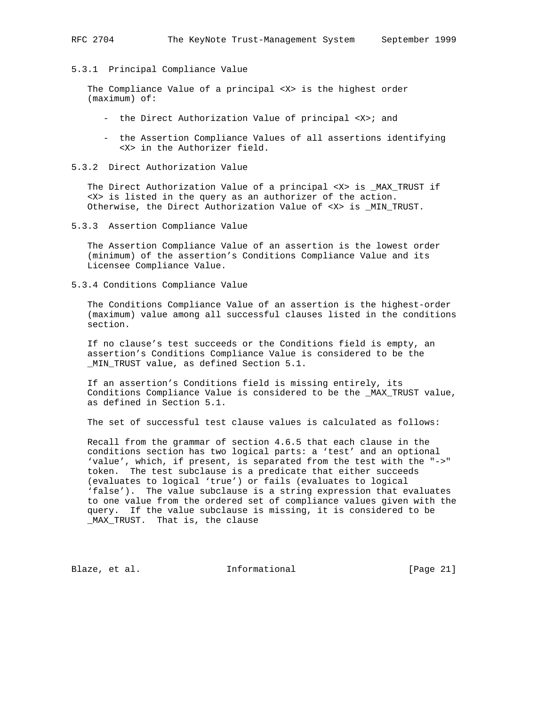#### 5.3.1 Principal Compliance Value

 The Compliance Value of a principal <X> is the highest order (maximum) of:

- the Direct Authorization Value of principal <X>; and
- the Assertion Compliance Values of all assertions identifying <X> in the Authorizer field.
- 5.3.2 Direct Authorization Value

 The Direct Authorization Value of a principal <X> is \_MAX\_TRUST if <X> is listed in the query as an authorizer of the action. Otherwise, the Direct Authorization Value of <X> is \_MIN\_TRUST.

5.3.3 Assertion Compliance Value

 The Assertion Compliance Value of an assertion is the lowest order (minimum) of the assertion's Conditions Compliance Value and its Licensee Compliance Value.

5.3.4 Conditions Compliance Value

 The Conditions Compliance Value of an assertion is the highest-order (maximum) value among all successful clauses listed in the conditions section.

 If no clause's test succeeds or the Conditions field is empty, an assertion's Conditions Compliance Value is considered to be the \_MIN\_TRUST value, as defined Section 5.1.

 If an assertion's Conditions field is missing entirely, its Conditions Compliance Value is considered to be the \_MAX\_TRUST value, as defined in Section 5.1.

The set of successful test clause values is calculated as follows:

 Recall from the grammar of section 4.6.5 that each clause in the conditions section has two logical parts: a 'test' and an optional 'value', which, if present, is separated from the test with the "->" token. The test subclause is a predicate that either succeeds (evaluates to logical 'true') or fails (evaluates to logical 'false'). The value subclause is a string expression that evaluates to one value from the ordered set of compliance values given with the query. If the value subclause is missing, it is considered to be \_MAX\_TRUST. That is, the clause

Blaze, et al. Informational [Page 21]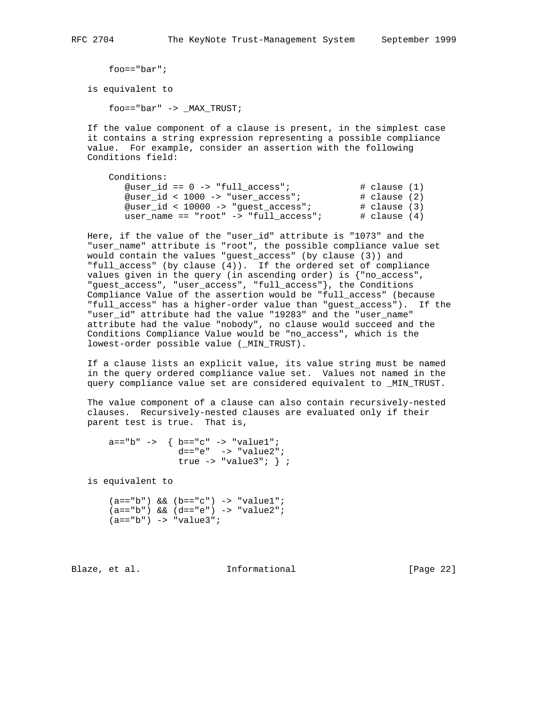foo=="bar";

is equivalent to

foo=="bar" -> \_MAX\_TRUST;

 If the value component of a clause is present, in the simplest case it contains a string expression representing a possible compliance value. For example, consider an assertion with the following Conditions field:

| Conditions:                           |                 |
|---------------------------------------|-----------------|
|                                       |                 |
| @user id == $0$ -> "full access";     | # clause (1)    |
| @user id < $1000$ -> "user access";   | # clause (2)    |
| @user_id < $10000$ -> "guest_access"; | # clause (3)    |
| user name == "root" -> "full access"; | $\#$ clause (4) |

 Here, if the value of the "user\_id" attribute is "1073" and the "user\_name" attribute is "root", the possible compliance value set would contain the values "guest\_access" (by clause (3)) and "full\_access" (by clause (4)). If the ordered set of compliance values given in the query (in ascending order) is {"no\_access", "guest\_access", "user\_access", "full\_access"}, the Conditions Compliance Value of the assertion would be "full\_access" (because "full\_access" has a higher-order value than "guest\_access"). If the "user\_id" attribute had the value "19283" and the "user\_name" attribute had the value "nobody", no clause would succeed and the Conditions Compliance Value would be "no\_access", which is the lowest-order possible value (\_MIN\_TRUST).

 If a clause lists an explicit value, its value string must be named in the query ordered compliance value set. Values not named in the query compliance value set are considered equivalent to \_MIN\_TRUST.

 The value component of a clause can also contain recursively-nested clauses. Recursively-nested clauses are evaluated only if their parent test is true. That is,

```
 a=="b" -> { b=="c" -> "value1";
d=="e" -> "value2";
                true \rightarrow "value3"; };
```
is equivalent to

```
(a == "b") & (b == "c") -> "value1";
 (a=="b") && (d=="e") -> "value2";
(a == "b") \rightarrow "value3";
```
Blaze, et al. **Informational** [Page 22]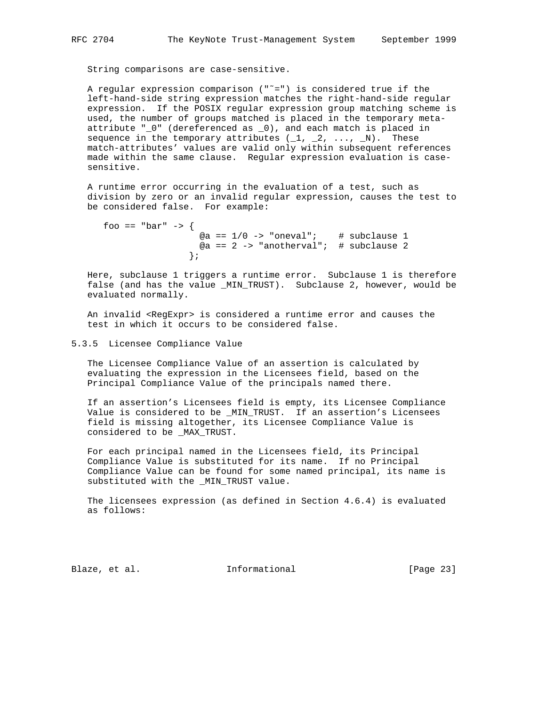String comparisons are case-sensitive.

A regular expression comparison  $("=")$  is considered true if the left-hand-side string expression matches the right-hand-side regular expression. If the POSIX regular expression group matching scheme is used, the number of groups matched is placed in the temporary meta attribute "\_0" (dereferenced as \_0), and each match is placed in sequence in the temporary attributes  $(1, 2, \ldots, N)$ . These match-attributes' values are valid only within subsequent references made within the same clause. Regular expression evaluation is case sensitive.

 A runtime error occurring in the evaluation of a test, such as division by zero or an invalid regular expression, causes the test to be considered false. For example:

```
foo == "bar" -> \{@a == 1/0 -> "oneval"; # subclause 1
                    @a == 2 \rightarrow "anotherval"; # subclause 2
 };
```
 Here, subclause 1 triggers a runtime error. Subclause 1 is therefore false (and has the value \_MIN\_TRUST). Subclause 2, however, would be evaluated normally.

 An invalid <RegExpr> is considered a runtime error and causes the test in which it occurs to be considered false.

#### 5.3.5 Licensee Compliance Value

 The Licensee Compliance Value of an assertion is calculated by evaluating the expression in the Licensees field, based on the Principal Compliance Value of the principals named there.

 If an assertion's Licensees field is empty, its Licensee Compliance Value is considered to be \_MIN\_TRUST. If an assertion's Licensees field is missing altogether, its Licensee Compliance Value is considered to be \_MAX\_TRUST.

 For each principal named in the Licensees field, its Principal Compliance Value is substituted for its name. If no Principal Compliance Value can be found for some named principal, its name is substituted with the \_MIN\_TRUST value.

 The licensees expression (as defined in Section 4.6.4) is evaluated as follows:

Blaze, et al. 1nformational 1999 [Page 23]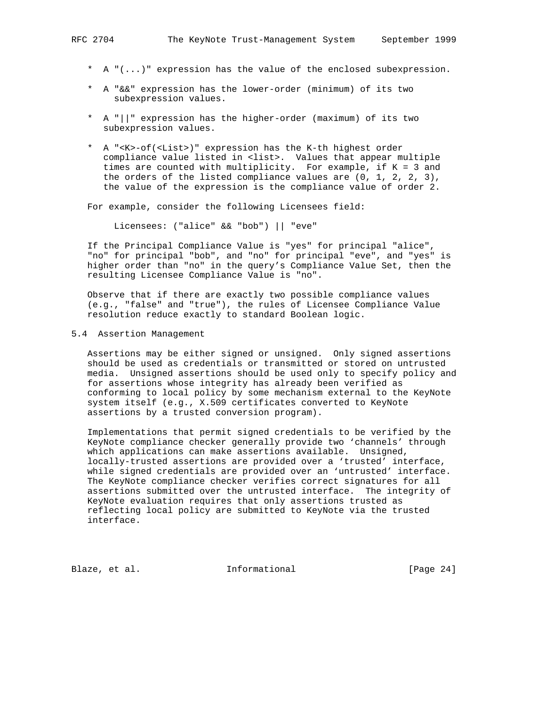- \* A "(...)" expression has the value of the enclosed subexpression.
- \* A "&&" expression has the lower-order (minimum) of its two subexpression values.
- \* A "||" expression has the higher-order (maximum) of its two subexpression values.
- \* A "<K>-of(<List>)" expression has the K-th highest order compliance value listed in <list>. Values that appear multiple times are counted with multiplicity. For example, if K = 3 and the orders of the listed compliance values are  $(0, 1, 2, 2, 3)$ , the value of the expression is the compliance value of order 2.

For example, consider the following Licensees field:

Licensees: ("alice" && "bob") || "eve"

 If the Principal Compliance Value is "yes" for principal "alice", "no" for principal "bob", and "no" for principal "eve", and "yes" is higher order than "no" in the query's Compliance Value Set, then the resulting Licensee Compliance Value is "no".

 Observe that if there are exactly two possible compliance values (e.g., "false" and "true"), the rules of Licensee Compliance Value resolution reduce exactly to standard Boolean logic.

5.4 Assertion Management

 Assertions may be either signed or unsigned. Only signed assertions should be used as credentials or transmitted or stored on untrusted media. Unsigned assertions should be used only to specify policy and for assertions whose integrity has already been verified as conforming to local policy by some mechanism external to the KeyNote system itself (e.g., X.509 certificates converted to KeyNote assertions by a trusted conversion program).

 Implementations that permit signed credentials to be verified by the KeyNote compliance checker generally provide two 'channels' through which applications can make assertions available. Unsigned, locally-trusted assertions are provided over a 'trusted' interface, while signed credentials are provided over an 'untrusted' interface. The KeyNote compliance checker verifies correct signatures for all assertions submitted over the untrusted interface. The integrity of KeyNote evaluation requires that only assertions trusted as reflecting local policy are submitted to KeyNote via the trusted interface.

Blaze, et al. 1nformational [Page 24]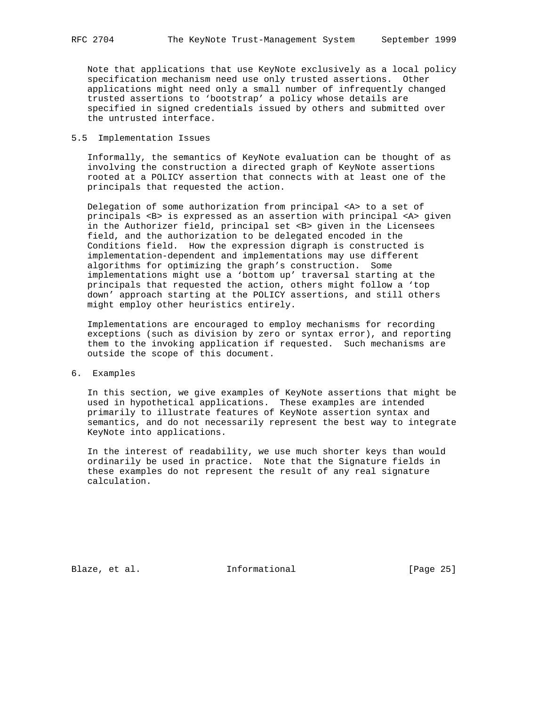Note that applications that use KeyNote exclusively as a local policy specification mechanism need use only trusted assertions. Other applications might need only a small number of infrequently changed trusted assertions to 'bootstrap' a policy whose details are specified in signed credentials issued by others and submitted over the untrusted interface.

# 5.5 Implementation Issues

 Informally, the semantics of KeyNote evaluation can be thought of as involving the construction a directed graph of KeyNote assertions rooted at a POLICY assertion that connects with at least one of the principals that requested the action.

 Delegation of some authorization from principal <A> to a set of principals <B> is expressed as an assertion with principal <A> given in the Authorizer field, principal set <B> given in the Licensees field, and the authorization to be delegated encoded in the Conditions field. How the expression digraph is constructed is implementation-dependent and implementations may use different algorithms for optimizing the graph's construction. Some implementations might use a 'bottom up' traversal starting at the principals that requested the action, others might follow a 'top down' approach starting at the POLICY assertions, and still others might employ other heuristics entirely.

 Implementations are encouraged to employ mechanisms for recording exceptions (such as division by zero or syntax error), and reporting them to the invoking application if requested. Such mechanisms are outside the scope of this document.

6. Examples

 In this section, we give examples of KeyNote assertions that might be used in hypothetical applications. These examples are intended primarily to illustrate features of KeyNote assertion syntax and semantics, and do not necessarily represent the best way to integrate KeyNote into applications.

 In the interest of readability, we use much shorter keys than would ordinarily be used in practice. Note that the Signature fields in these examples do not represent the result of any real signature calculation.

Blaze, et al. 1nformational [Page 25]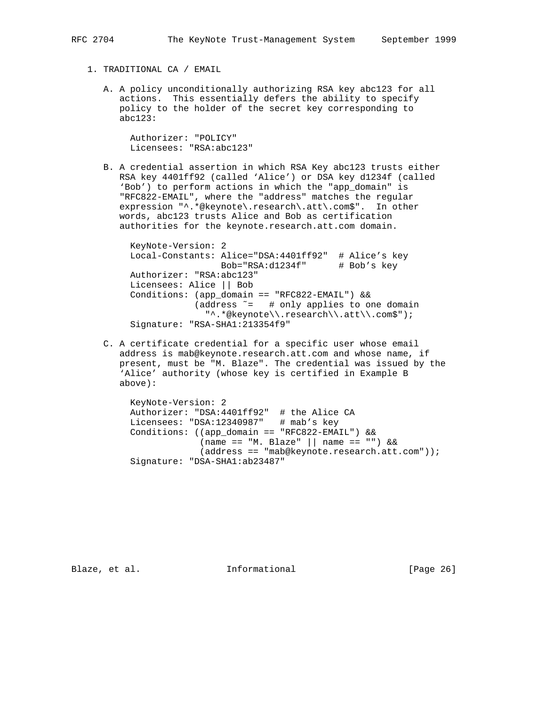- 1. TRADITIONAL CA / EMAIL
	- A. A policy unconditionally authorizing RSA key abc123 for all actions. This essentially defers the ability to specify policy to the holder of the secret key corresponding to abc123:

 Authorizer: "POLICY" Licensees: "RSA:abc123"

 B. A credential assertion in which RSA Key abc123 trusts either RSA key 4401ff92 (called 'Alice') or DSA key d1234f (called 'Bob') to perform actions in which the "app\_domain" is "RFC822-EMAIL", where the "address" matches the regular expression "^.\*@keynote\.research\.att\.com\$". In other words, abc123 trusts Alice and Bob as certification authorities for the keynote.research.att.com domain.

 KeyNote-Version: 2 Local-Constants: Alice="DSA:4401ff92" # Alice's key Bob="RSA:d1234f" # Bob's key Authorizer: "RSA:abc123" Licensees: Alice || Bob Conditions: (app\_domain == "RFC822-EMAIL") && (address ˜= # only applies to one domain "^.\*@keynote\\.research\\.att\\.com\$"); Signature: "RSA-SHA1:213354f9"

 C. A certificate credential for a specific user whose email address is mab@keynote.research.att.com and whose name, if present, must be "M. Blaze". The credential was issued by the 'Alice' authority (whose key is certified in Example B above):

 KeyNote-Version: 2 Authorizer: "DSA:4401ff92" # the Alice CA Licensees: "DSA:12340987" # mab's key Conditions: ((app\_domain == "RFC822-EMAIL") && (name == "M. Blaze" || name == "") && (address == "mab@keynote.research.att.com")); Signature: "DSA-SHA1:ab23487"

Blaze, et al. 1nformational [Page 26]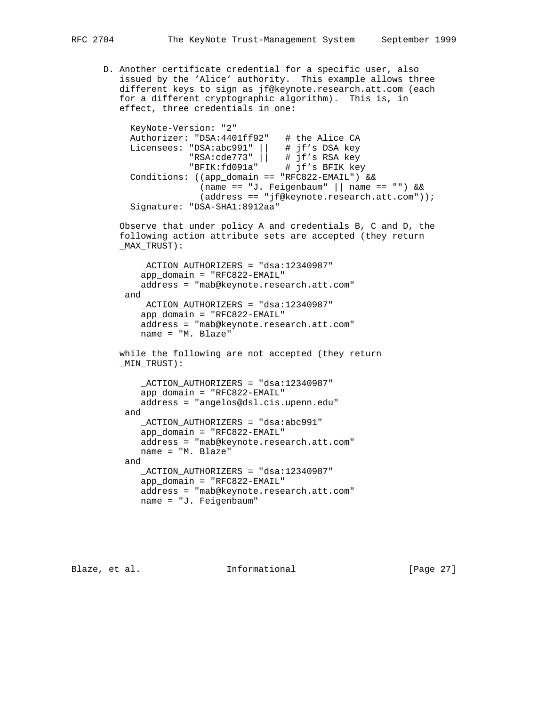D. Another certificate credential for a specific user, also issued by the 'Alice' authority. This example allows three different keys to sign as jf@keynote.research.att.com (each for a different cryptographic algorithm). This is, in effect, three credentials in one:

 KeyNote-Version: "2" Authorizer: "DSA:4401ff92" # the Alice CA Licensees: "DSA:abc991" || # jf's DSA key "RSA:cde773" || # jf's RSA key "BFIK:fd091a" # jf's BFIK key Conditions: ((app\_domain == "RFC822-EMAIL") && (name == "J. Feigenbaum" || name == "") && (address == "jf@keynote.research.att.com")); Signature: "DSA-SHA1:8912aa"

> Observe that under policy A and credentials B, C and D, the following action attribute sets are accepted (they return \_MAX\_TRUST):

 \_ACTION\_AUTHORIZERS = "dsa:12340987"  $app\ domain = "RFC822-EMAIL"$  address = "mab@keynote.research.att.com" and \_ACTION\_AUTHORIZERS = "dsa:12340987" app\_domain = "RFC822-EMAIL" address = "mab@keynote.research.att.com" name = "M. Blaze"

 while the following are not accepted (they return \_MIN\_TRUST):

```
 _ACTION_AUTHORIZERS = "dsa:12340987"
    app_domain = "RFC822-EMAIL"
    address = "angelos@dsl.cis.upenn.edu"
 and
    _ACTION_AUTHORIZERS = "dsa:abc991"
    app_domain = "RFC822-EMAIL"
    address = "mab@keynote.research.att.com"
    name = "M. Blaze"
 and
    _ACTION_AUTHORIZERS = "dsa:12340987"
    app_domain = "RFC822-EMAIL"
    address = "mab@keynote.research.att.com"
    name = "J. Feigenbaum"
```
Blaze, et al. **Informational** [Page 27]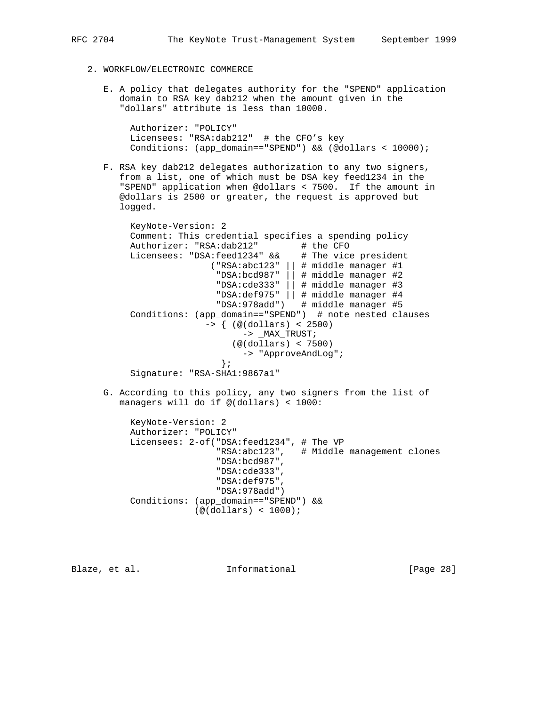- 2. WORKFLOW/ELECTRONIC COMMERCE
	- E. A policy that delegates authority for the "SPEND" application domain to RSA key dab212 when the amount given in the "dollars" attribute is less than 10000.

 Authorizer: "POLICY" Licensees: "RSA:dab212" # the CFO's key Conditions: (app\_domain=="SPEND") && (@dollars < 10000);

 F. RSA key dab212 delegates authorization to any two signers, from a list, one of which must be DSA key feed1234 in the "SPEND" application when @dollars < 7500. If the amount in @dollars is 2500 or greater, the request is approved but logged.

 KeyNote-Version: 2 Comment: This credential specifies a spending policy Authorizer: "RSA:dab212" # the CFO Licensees: "DSA:feed1234" && # The vice president ("RSA:abc123" || # middle manager #1 "DSA:bcd987" || # middle manager #2 "DSA:cde333" || # middle manager #3 "DSA:def975" || # middle manager #4 "DSA:978add") # middle manager #5 Conditions: (app\_domain=="SPEND") # note nested clauses -> { (@(dollars) < 2500) -> \_MAX\_TRUST; (@(dollars) < 7500) -> "ApproveAndLog"; }; Signature: "RSA-SHA1:9867a1"

 G. According to this policy, any two signers from the list of managers will do if @(dollars) < 1000:

```
 KeyNote-Version: 2
 Authorizer: "POLICY"
 Licensees: 2-of("DSA:feed1234", # The VP
                  "RSA:abc123", # Middle management clones
                  "DSA:bcd987",
                  "DSA:cde333",
                  "DSA:def975",
                 "DSA:978add")
 Conditions: (app_domain=="SPEND") &&
             (@(dollars) < 1000);
```
Blaze, et al. **Informational** [Page 28]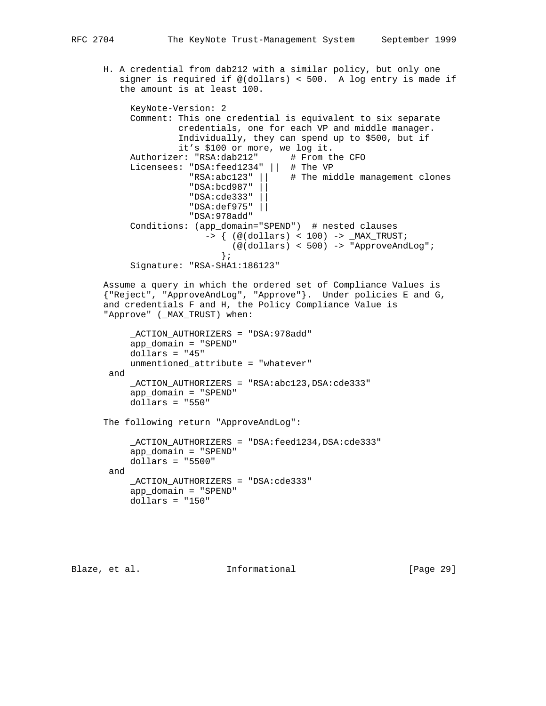H. A credential from dab212 with a similar policy, but only one signer is required if @(dollars) < 500. A log entry is made if the amount is at least 100.

```
 KeyNote-Version: 2
           Comment: This one credential is equivalent to six separate
                    credentials, one for each VP and middle manager.
                    Individually, they can spend up to $500, but if
                    it's $100 or more, we log it.
          Authorizer: "RSA:dab212" # From the CFO
 Licensees: "DSA:feed1234" || # The VP
 "RSA:abc123" || # The middle management clones
                      "DSA:bcd987" ||
                      "DSA:cde333" ||
                      "DSA:def975" ||
                      "DSA:978add"
           Conditions: (app_domain="SPEND") # nested clauses
                         -> { (@(dollars) < 100) -> _MAX_TRUST;
                           (\mathcal{Q}(\text{dollars}) \leq 500) \rightarrow \text{"Approxenduog";} };
           Signature: "RSA-SHA1:186123"
```
 Assume a query in which the ordered set of Compliance Values is {"Reject", "ApproveAndLog", "Approve"}. Under policies E and G, and credentials F and H, the Policy Compliance Value is "Approve" (\_MAX\_TRUST) when:

```
 _ACTION_AUTHORIZERS = "DSA:978add"
     app_domain = "SPEND"
     dollars = "45"
    unmentioned_attribute = "whatever"
 and
     _ACTION_AUTHORIZERS = "RSA:abc123,DSA:cde333"
     app_domain = "SPEND"
     dollars = "550"
```
The following return "ApproveAndLog":

```
 _ACTION_AUTHORIZERS = "DSA:feed1234,DSA:cde333"
    app\ domain = "SPEND" dollars = "5500"
 and
     _ACTION_AUTHORIZERS = "DSA:cde333"
     app_domain = "SPEND"
     dollars = "150"
```
Blaze, et al. **Informational** [Page 29]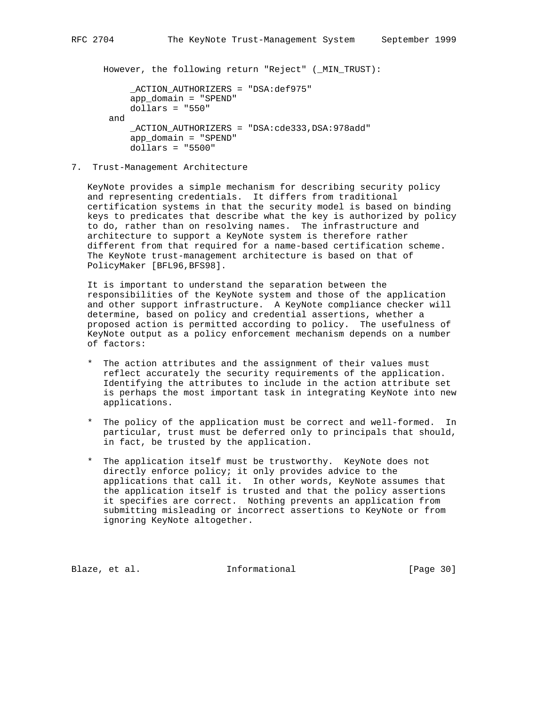However, the following return "Reject" (\_MIN\_TRUST):

```
 _ACTION_AUTHORIZERS = "DSA:def975"
    app\ domain = "SPEND" dollars = "550"
 and
     _ACTION_AUTHORIZERS = "DSA:cde333,DSA:978add"
     app_domain = "SPEND"
     dollars = "5500"
```
7. Trust-Management Architecture

 KeyNote provides a simple mechanism for describing security policy and representing credentials. It differs from traditional certification systems in that the security model is based on binding keys to predicates that describe what the key is authorized by policy to do, rather than on resolving names. The infrastructure and architecture to support a KeyNote system is therefore rather different from that required for a name-based certification scheme. The KeyNote trust-management architecture is based on that of PolicyMaker [BFL96,BFS98].

 It is important to understand the separation between the responsibilities of the KeyNote system and those of the application and other support infrastructure. A KeyNote compliance checker will determine, based on policy and credential assertions, whether a proposed action is permitted according to policy. The usefulness of KeyNote output as a policy enforcement mechanism depends on a number of factors:

- \* The action attributes and the assignment of their values must reflect accurately the security requirements of the application. Identifying the attributes to include in the action attribute set is perhaps the most important task in integrating KeyNote into new applications.
- \* The policy of the application must be correct and well-formed. In particular, trust must be deferred only to principals that should, in fact, be trusted by the application.
- \* The application itself must be trustworthy. KeyNote does not directly enforce policy; it only provides advice to the applications that call it. In other words, KeyNote assumes that the application itself is trusted and that the policy assertions it specifies are correct. Nothing prevents an application from submitting misleading or incorrect assertions to KeyNote or from ignoring KeyNote altogether.

Blaze, et al. 1nformational 1999 [Page 30]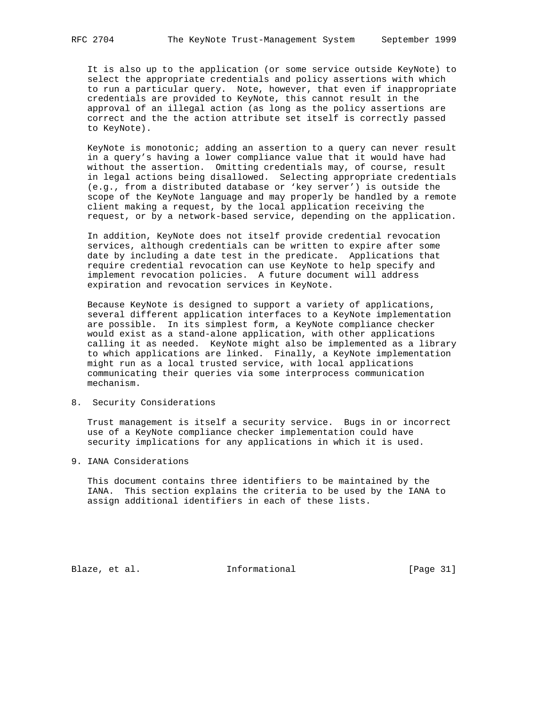It is also up to the application (or some service outside KeyNote) to select the appropriate credentials and policy assertions with which to run a particular query. Note, however, that even if inappropriate credentials are provided to KeyNote, this cannot result in the approval of an illegal action (as long as the policy assertions are correct and the the action attribute set itself is correctly passed to KeyNote).

 KeyNote is monotonic; adding an assertion to a query can never result in a query's having a lower compliance value that it would have had without the assertion. Omitting credentials may, of course, result in legal actions being disallowed. Selecting appropriate credentials (e.g., from a distributed database or 'key server') is outside the scope of the KeyNote language and may properly be handled by a remote client making a request, by the local application receiving the request, or by a network-based service, depending on the application.

 In addition, KeyNote does not itself provide credential revocation services, although credentials can be written to expire after some date by including a date test in the predicate. Applications that require credential revocation can use KeyNote to help specify and implement revocation policies. A future document will address expiration and revocation services in KeyNote.

 Because KeyNote is designed to support a variety of applications, several different application interfaces to a KeyNote implementation are possible. In its simplest form, a KeyNote compliance checker would exist as a stand-alone application, with other applications calling it as needed. KeyNote might also be implemented as a library to which applications are linked. Finally, a KeyNote implementation might run as a local trusted service, with local applications communicating their queries via some interprocess communication mechanism.

8. Security Considerations

 Trust management is itself a security service. Bugs in or incorrect use of a KeyNote compliance checker implementation could have security implications for any applications in which it is used.

9. IANA Considerations

 This document contains three identifiers to be maintained by the IANA. This section explains the criteria to be used by the IANA to assign additional identifiers in each of these lists.

Blaze, et al. 1nformational [Page 31]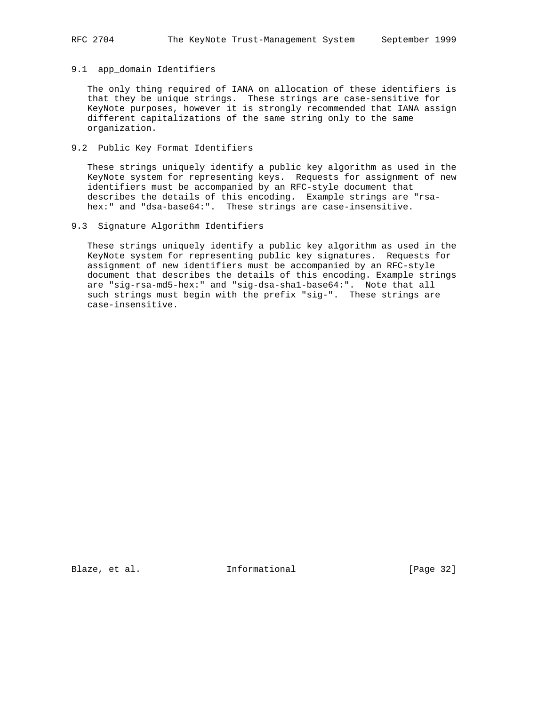#### 9.1 app\_domain Identifiers

 The only thing required of IANA on allocation of these identifiers is that they be unique strings. These strings are case-sensitive for KeyNote purposes, however it is strongly recommended that IANA assign different capitalizations of the same string only to the same organization.

# 9.2 Public Key Format Identifiers

 These strings uniquely identify a public key algorithm as used in the KeyNote system for representing keys. Requests for assignment of new identifiers must be accompanied by an RFC-style document that describes the details of this encoding. Example strings are "rsa hex:" and "dsa-base64:". These strings are case-insensitive.

# 9.3 Signature Algorithm Identifiers

 These strings uniquely identify a public key algorithm as used in the KeyNote system for representing public key signatures. Requests for assignment of new identifiers must be accompanied by an RFC-style document that describes the details of this encoding. Example strings are "sig-rsa-md5-hex:" and "sig-dsa-sha1-base64:". Note that all such strings must begin with the prefix "sig-". These strings are case-insensitive.

Blaze, et al. 1nformational [Page 32]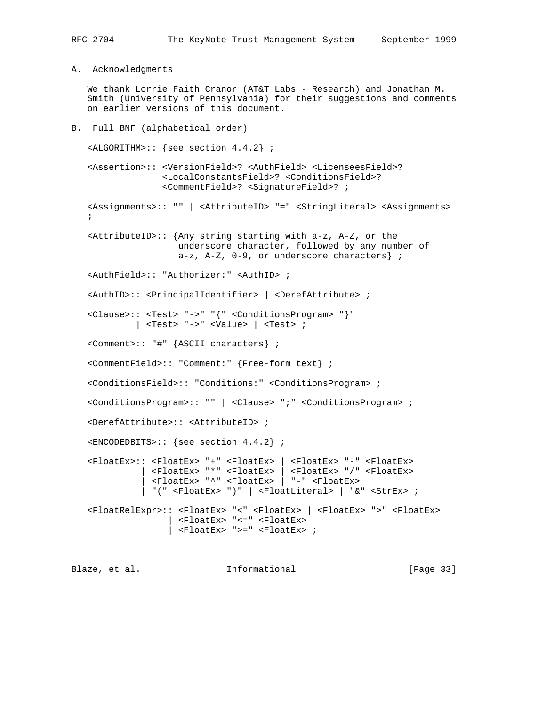A. Acknowledgments

 We thank Lorrie Faith Cranor (AT&T Labs - Research) and Jonathan M. Smith (University of Pennsylvania) for their suggestions and comments on earlier versions of this document.

# B. Full BNF (alphabetical order)

<ALGORITHM>:: {see section 4.4.2} ;

 <Assertion>:: <VersionField>? <AuthField> <LicenseesField>? <LocalConstantsField>? <ConditionsField>? <CommentField>? <SignatureField>? ;

 <Assignments>:: "" | <AttributeID> "=" <StringLiteral> <Assignments>  $\mathcal{L}$ 

 $\varepsilon$ AttributeID>:: {Any string starting with a-z, A-Z, or the underscore character, followed by any number of  $a-z$ ,  $A-Z$ ,  $0-9$ , or underscore characters} ;

<AuthField>:: "Authorizer:" <AuthID> ;

<AuthID>:: <PrincipalIdentifier> | <DerefAttribute> ;

 <Clause>:: <Test> "->" "{" <ConditionsProgram> "}" |  $<$ Test> "->"  $<$ Value> |  $<$ Test> ;

<Comment>:: "#" {ASCII characters} ;

<CommentField>:: "Comment:" {Free-form text} ;

<ConditionsField>:: "Conditions:" <ConditionsProgram> ;

<ConditionsProgram>:: "" | <Clause> ";" <ConditionsProgram> ;

<DerefAttribute>:: <AttributeID> ;

<ENCODEDBITS>:: {see section 4.4.2} ;

 <FloatEx>:: <FloatEx> "+" <FloatEx> | <FloatEx> "-" <FloatEx> | <FloatEx> "\*" <FloatEx> | <FloatEx> "/" <FloatEx> | <FloatEx> "^" <FloatEx> | "-" <FloatEx> | "(" <FloatEx> ")" | <FloatLiteral> | "&" <StrEx> ; <FloatRelExpr>:: <FloatEx> "<" <FloatEx> | <FloatEx> ">" <FloatEx> | <FloatEx> "<=" <FloatEx>

 $|$  <FloatEx> ">=" <FloatEx> ;

Blaze, et al. **Informational** [Page 33]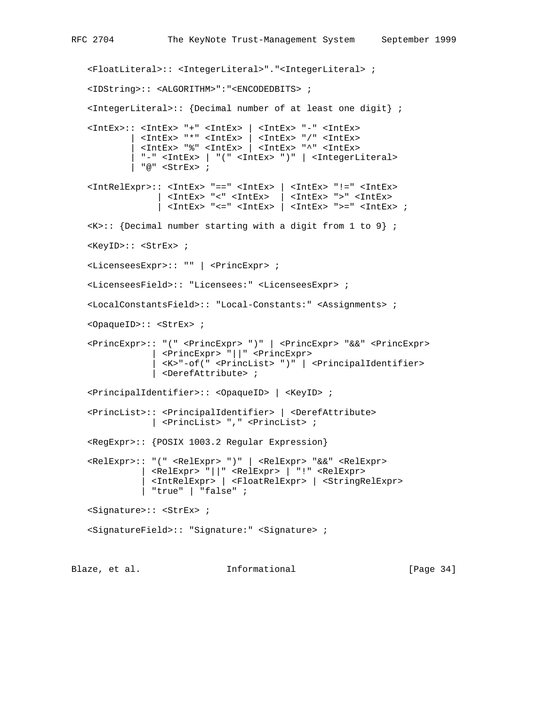<FloatLiteral>:: <IntegerLiteral>"."<IntegerLiteral> ; <IDString>:: <ALGORITHM>":"<ENCODEDBITS> ; <IntegerLiteral>:: {Decimal number of at least one digit} ; <IntEx>:: <IntEx> "+" <IntEx> | <IntEx> "-" <IntEx> | <IntEx> "\*" <IntEx> | <IntEx> "/" <IntEx> | <IntEx> "%" <IntEx> | <IntEx> "^" <IntEx> | "-" <IntEx> | "(" <IntEx> ")" | <IntegerLiteral> | "@" <StrEx> ; <IntRelExpr>:: <IntEx> "==" <IntEx> | <IntEx> "!=" <IntEx> | <IntEx> "<" <IntEx> | <IntEx> ">" <IntEx> | <IntEx> "<=" <IntEx> | <IntEx> ">=" <IntEx> ;  $\langle K \rangle$ :: {Decimal number starting with a digit from 1 to 9} ; <KeyID>:: <StrEx> ; <LicenseesExpr>:: "" | <PrincExpr> ; <LicenseesField>:: "Licensees:" <LicenseesExpr> ; <LocalConstantsField>:: "Local-Constants:" <Assignments> ; <OpaqueID>:: <StrEx> ; <PrincExpr>:: "(" <PrincExpr> ")" | <PrincExpr> "&&" <PrincExpr> | <PrincExpr> "||" <PrincExpr> | <K>"-of(" <PrincList> ")" | <PrincipalIdentifier> | <DerefAttribute> ; <PrincipalIdentifier>:: <OpaqueID> | <KeyID> ; <PrincList>:: <PrincipalIdentifier> | <DerefAttribute> | <PrincList> "," <PrincList> ; <RegExpr>:: {POSIX 1003.2 Regular Expression} <RelExpr>:: "(" <RelExpr> ")" | <RelExpr> "&&" <RelExpr> | <RelExpr> "||" <RelExpr> | "!" <RelExpr> | <IntRelExpr> | <FloatRelExpr> | <StringRelExpr> | "true" | "false" ; <Signature>:: <StrEx> ; <SignatureField>:: "Signature:" <Signature> ;

Blaze, et al. 1nformational [Page 34]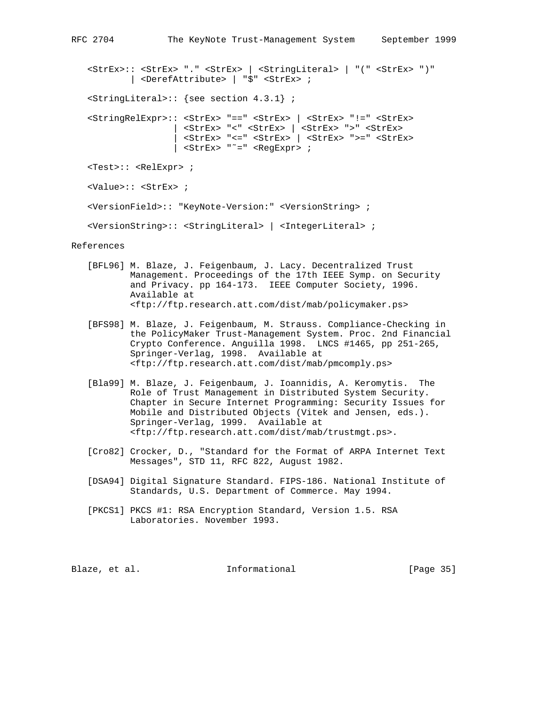<StrEx>:: <StrEx> "." <StrEx> | <StringLiteral> | "(" <StrEx> ")" | <DerefAttribute> | "\$" <StrEx> ; <StringLiteral>:: {see section 4.3.1} ; <StringRelExpr>:: <StrEx> "==" <StrEx> | <StrEx> "!=" <StrEx> | <StrEx> "<" <StrEx> | <StrEx> ">" <StrEx> | <StrEx> "<=" <StrEx> | <StrEx> ">=" <StrEx> | <StrEx> "˜=" <RegExpr> ; <Test>:: <RelExpr> ; <Value>:: <StrEx> ; <VersionField>:: "KeyNote-Version:" <VersionString> ; <VersionString>:: <StringLiteral> | <IntegerLiteral> ;

References

- [BFL96] M. Blaze, J. Feigenbaum, J. Lacy. Decentralized Trust Management. Proceedings of the 17th IEEE Symp. on Security and Privacy. pp 164-173. IEEE Computer Society, 1996. Available at <ftp://ftp.research.att.com/dist/mab/policymaker.ps>
- [BFS98] M. Blaze, J. Feigenbaum, M. Strauss. Compliance-Checking in the PolicyMaker Trust-Management System. Proc. 2nd Financial Crypto Conference. Anguilla 1998. LNCS #1465, pp 251-265, Springer-Verlag, 1998. Available at <ftp://ftp.research.att.com/dist/mab/pmcomply.ps>
- [Bla99] M. Blaze, J. Feigenbaum, J. Ioannidis, A. Keromytis. The Role of Trust Management in Distributed System Security. Chapter in Secure Internet Programming: Security Issues for Mobile and Distributed Objects (Vitek and Jensen, eds.). Springer-Verlag, 1999. Available at <ftp://ftp.research.att.com/dist/mab/trustmgt.ps>.
- [Cro82] Crocker, D., "Standard for the Format of ARPA Internet Text Messages", STD 11, RFC 822, August 1982.
- [DSA94] Digital Signature Standard. FIPS-186. National Institute of Standards, U.S. Department of Commerce. May 1994.
- [PKCS1] PKCS #1: RSA Encryption Standard, Version 1.5. RSA Laboratories. November 1993.

Blaze, et al. **Informational** [Page 35]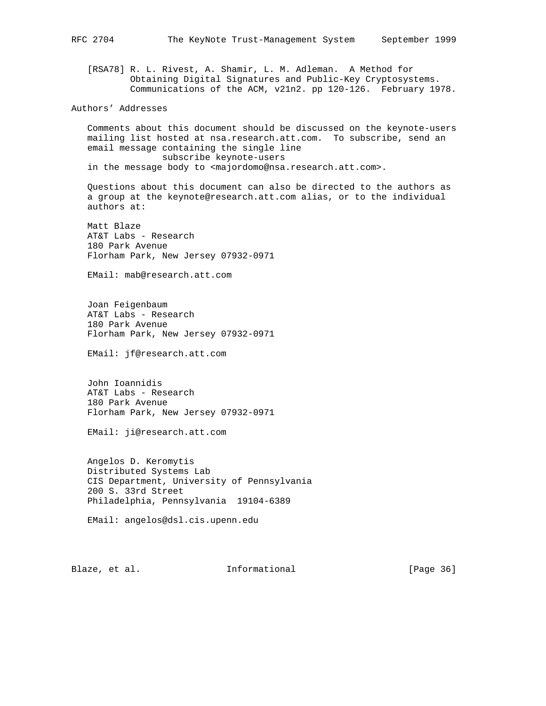[RSA78] R. L. Rivest, A. Shamir, L. M. Adleman. A Method for Obtaining Digital Signatures and Public-Key Cryptosystems. Communications of the ACM, v21n2. pp 120-126. February 1978.

Authors' Addresses

 Comments about this document should be discussed on the keynote-users mailing list hosted at nsa.research.att.com. To subscribe, send an email message containing the single line subscribe keynote-users in the message body to <majordomo@nsa.research.att.com>.

 Questions about this document can also be directed to the authors as a group at the keynote@research.att.com alias, or to the individual authors at:

 Matt Blaze AT&T Labs - Research 180 Park Avenue Florham Park, New Jersey 07932-0971

EMail: mab@research.att.com

 Joan Feigenbaum AT&T Labs - Research 180 Park Avenue Florham Park, New Jersey 07932-0971

EMail: jf@research.att.com

 John Ioannidis AT&T Labs - Research 180 Park Avenue Florham Park, New Jersey 07932-0971

EMail: ji@research.att.com

 Angelos D. Keromytis Distributed Systems Lab CIS Department, University of Pennsylvania 200 S. 33rd Street Philadelphia, Pennsylvania 19104-6389

EMail: angelos@dsl.cis.upenn.edu

Blaze, et al. 1nformational 1999 [Page 36]